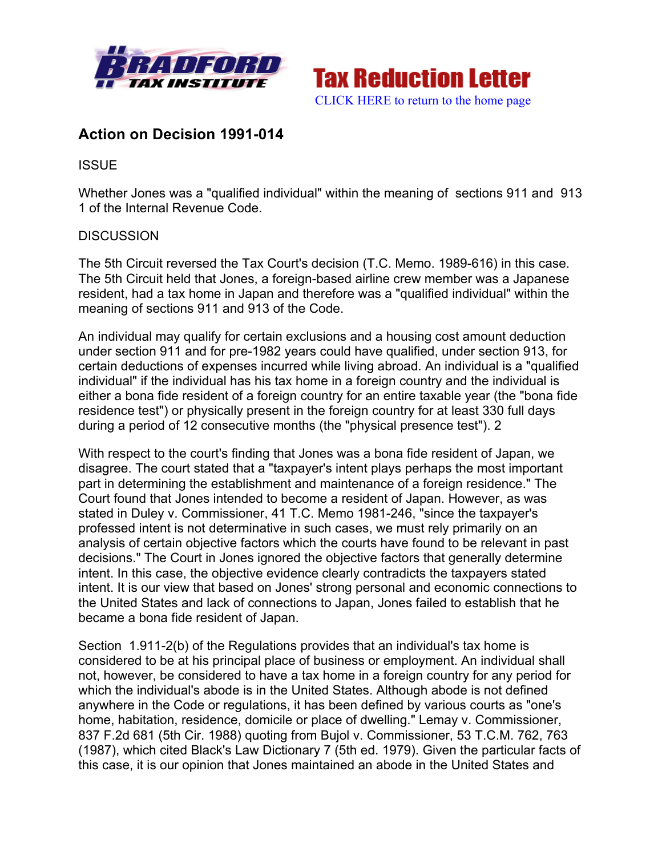



## **Action on Decision 1991-014**

**ISSUE** 

Whether Jones was a "qualified individual" within the meaning of sections 911 and 913 1 of the Internal Revenue Code.

## **DISCUSSION**

The 5th Circuit reversed the Tax Court's decision (T.C. Memo. 1989-616) in this case. The 5th Circuit held that Jones, a foreign-based airline crew member was a Japanese resident, had a tax home in Japan and therefore was a "qualified individual" within the meaning of sections 911 and 913 of the Code.

An individual may qualify for certain exclusions and a housing cost amount deduction under section 911 and for pre-1982 years could have qualified, under section 913, for certain deductions of expenses incurred while living abroad. An individual is a "qualified individual" if the individual has his tax home in a foreign country and the individual is either a bona fide resident of a foreign country for an entire taxable year (the "bona fide residence test") or physically present in the foreign country for at least 330 full days during a period of 12 consecutive months (the "physical presence test"). 2

With respect to the court's finding that Jones was a bona fide resident of Japan, we disagree. The court stated that a "taxpayer's intent plays perhaps the most important part in determining the establishment and maintenance of a foreign residence." The Court found that Jones intended to become a resident of Japan. However, as was stated in Duley v. Commissioner, 41 T.C. Memo 1981-246, "since the taxpayer's professed intent is not determinative in such cases, we must rely primarily on an analysis of certain objective factors which the courts have found to be relevant in past decisions." The Court in Jones ignored the objective factors that generally determine intent. In this case, the objective evidence clearly contradicts the taxpayers stated intent. It is our view that based on Jones' strong personal and economic connections to the United States and lack of connections to Japan, Jones failed to establish that he became a bona fide resident of Japan.

Section 1.911-2(b) of the Regulations provides that an individual's tax home is considered to be at his principal place of business or employment. An individual shall not, however, be considered to have a tax home in a foreign country for any period for which the individual's abode is in the United States. Although abode is not defined anywhere in the Code or regulations, it has been defined by various courts as "one's home, habitation, residence, domicile or place of dwelling." Lemay v. Commissioner, 837 F.2d 681 (5th Cir. 1988) quoting from Bujol v. Commissioner, 53 T.C.M. 762, 763 (1987), which cited Black's Law Dictionary 7 (5th ed. 1979). Given the particular facts of this case, it is our opinion that Jones maintained an abode in the United States and